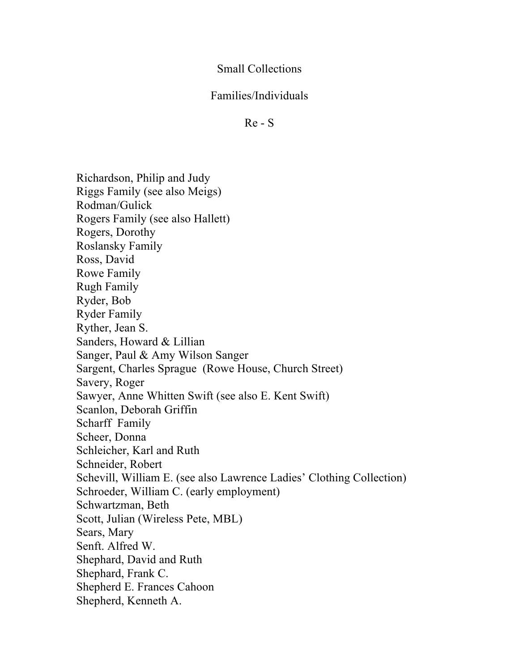## Small Collections

## Families/Individuals

Re - S

Richardson, Philip and Judy Riggs Family (see also Meigs) Rodman/Gulick Rogers Family (see also Hallett) Rogers, Dorothy Roslansky Family Ross, David Rowe Family Rugh Family Ryder, Bob Ryder Family Ryther, Jean S. Sanders, Howard & Lillian Sanger, Paul & Amy Wilson Sanger Sargent, Charles Sprague (Rowe House, Church Street) Savery, Roger Sawyer, Anne Whitten Swift (see also E. Kent Swift) Scanlon, Deborah Griffin Scharff Family Scheer, Donna Schleicher, Karl and Ruth Schneider, Robert Schevill, William E. (see also Lawrence Ladies' Clothing Collection) Schroeder, William C. (early employment) Schwartzman, Beth Scott, Julian (Wireless Pete, MBL) Sears, Mary Senft. Alfred W. Shephard, David and Ruth Shephard, Frank C. Shepherd E. Frances Cahoon Shepherd, Kenneth A.